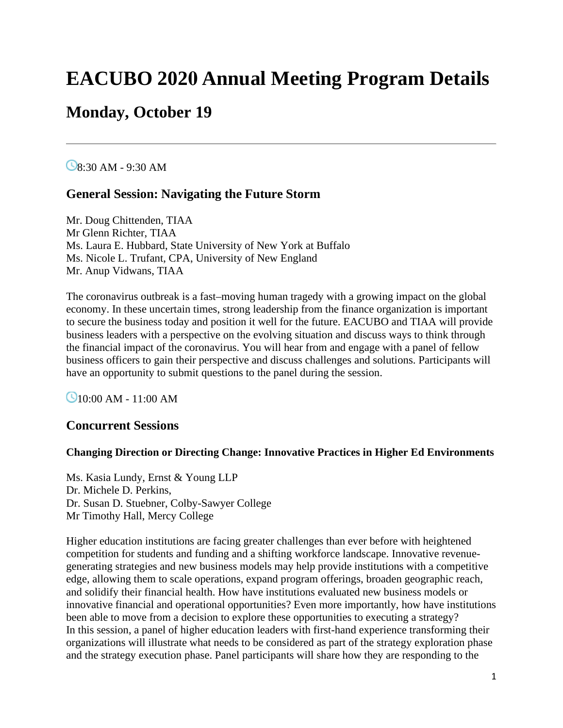# **EACUBO 2020 Annual Meeting Program Details**

# **Monday, October 19**

 $\bigcirc$ 8:30 AM - 9:30 AM

# **General Session: Navigating the Future Storm**

Mr. Doug Chittenden, TIAA Mr Glenn Richter, TIAA Ms. Laura E. Hubbard, State University of New York at Buffalo Ms. Nicole L. Trufant, CPA, University of New England Mr. Anup Vidwans, TIAA

The coronavirus outbreak is a fast–moving human tragedy with a growing impact on the global economy. In these uncertain times, strong leadership from the finance organization is important to secure the business today and position it well for the future. EACUBO and TIAA will provide business leaders with a perspective on the evolving situation and discuss ways to think through the financial impact of the coronavirus. You will hear from and engage with a panel of fellow business officers to gain their perspective and discuss challenges and solutions. Participants will have an opportunity to submit questions to the panel during the session.

**10:00 AM - 11:00 AM** 

# **Concurrent Sessions**

#### **Changing Direction or Directing Change: Innovative Practices in Higher Ed Environments**

Ms. Kasia Lundy, Ernst & Young LLP Dr. Michele D. Perkins, Dr. Susan D. Stuebner, Colby-Sawyer College Mr Timothy Hall, Mercy College

Higher education institutions are facing greater challenges than ever before with heightened competition for students and funding and a shifting workforce landscape. Innovative revenuegenerating strategies and new business models may help provide institutions with a competitive edge, allowing them to scale operations, expand program offerings, broaden geographic reach, and solidify their financial health. How have institutions evaluated new business models or innovative financial and operational opportunities? Even more importantly, how have institutions been able to move from a decision to explore these opportunities to executing a strategy? In this session, a panel of higher education leaders with first-hand experience transforming their organizations will illustrate what needs to be considered as part of the strategy exploration phase and the strategy execution phase. Panel participants will share how they are responding to the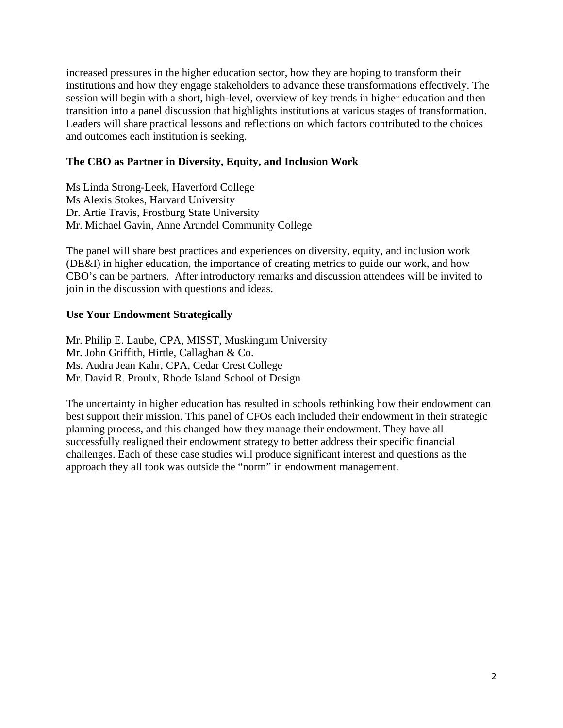increased pressures in the higher education sector, how they are hoping to transform their institutions and how they engage stakeholders to advance these transformations effectively. The session will begin with a short, high-level, overview of key trends in higher education and then transition into a panel discussion that highlights institutions at various stages of transformation. Leaders will share practical lessons and reflections on which factors contributed to the choices and outcomes each institution is seeking.

#### **The CBO as Partner in Diversity, Equity, and Inclusion Work**

Ms Linda Strong-Leek, Haverford College Ms Alexis Stokes, Harvard University Dr. Artie Travis, Frostburg State University Mr. Michael Gavin, Anne Arundel Community College

The panel will share best practices and experiences on diversity, equity, and inclusion work (DE&I) in higher education, the importance of creating metrics to guide our work, and how CBO's can be partners. After introductory remarks and discussion attendees will be invited to join in the discussion with questions and ideas.

#### **Use Your Endowment Strategically**

Mr. Philip E. Laube, CPA, MISST, Muskingum University Mr. John Griffith, Hirtle, Callaghan & Co. Ms. Audra Jean Kahr, CPA, Cedar Crest College Mr. David R. Proulx, Rhode Island School of Design

The uncertainty in higher education has resulted in schools rethinking how their endowment can best support their mission. This panel of CFOs each included their endowment in their strategic planning process, and this changed how they manage their endowment. They have all successfully realigned their endowment strategy to better address their specific financial challenges. Each of these case studies will produce significant interest and questions as the approach they all took was outside the "norm" in endowment management.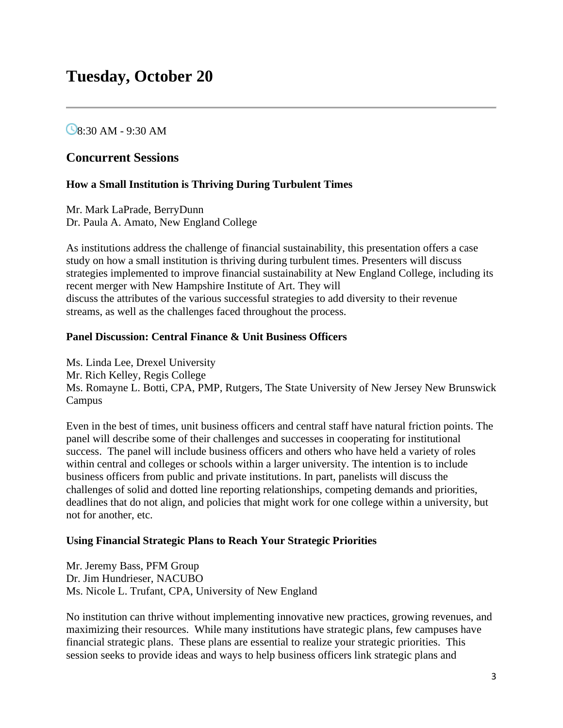# **Tuesday, October 20**

# $\bigcirc$ 8:30 AM - 9:30 AM

#### **Concurrent Sessions**

#### **How a Small Institution is Thriving During Turbulent Times**

Mr. Mark LaPrade, BerryDunn Dr. Paula A. Amato, New England College

As institutions address the challenge of financial sustainability, this presentation offers a case study on how a small institution is thriving during turbulent times. Presenters will discuss strategies implemented to improve financial sustainability at New England College, including its recent merger with New Hampshire Institute of Art. They will discuss the attributes of the various successful strategies to add diversity to their revenue streams, as well as the challenges faced throughout the process.

#### **Panel Discussion: Central Finance & Unit Business Officers**

Ms. Linda Lee, Drexel University Mr. Rich Kelley, Regis College Ms. Romayne L. Botti, CPA, PMP, Rutgers, The State University of New Jersey New Brunswick Campus

Even in the best of times, unit business officers and central staff have natural friction points. The panel will describe some of their challenges and successes in cooperating for institutional success. The panel will include business officers and others who have held a variety of roles within central and colleges or schools within a larger university. The intention is to include business officers from public and private institutions. In part, panelists will discuss the challenges of solid and dotted line reporting relationships, competing demands and priorities, deadlines that do not align, and policies that might work for one college within a university, but not for another, etc.

#### **Using Financial Strategic Plans to Reach Your Strategic Priorities**

Mr. Jeremy Bass, PFM Group Dr. Jim Hundrieser, NACUBO Ms. Nicole L. Trufant, CPA, University of New England

No institution can thrive without implementing innovative new practices, growing revenues, and maximizing their resources. While many institutions have strategic plans, few campuses have financial strategic plans. These plans are essential to realize your strategic priorities. This session seeks to provide ideas and ways to help business officers link strategic plans and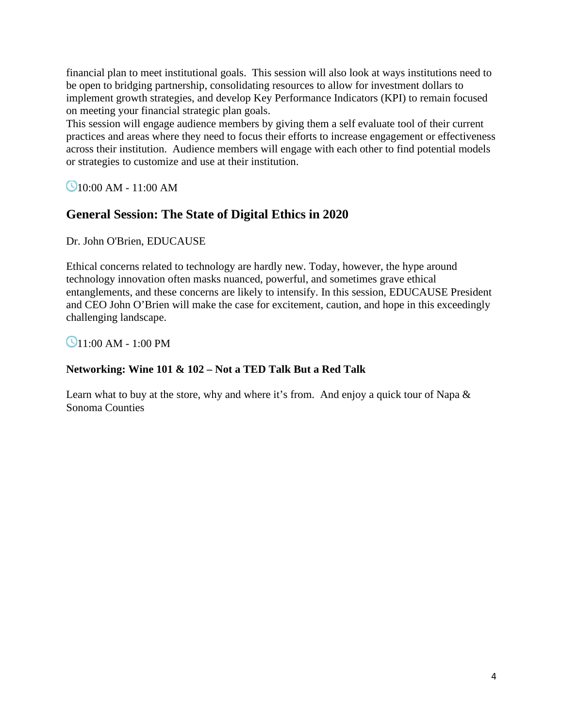financial plan to meet institutional goals. This session will also look at ways institutions need to be open to bridging partnership, consolidating resources to allow for investment dollars to implement growth strategies, and develop Key Performance Indicators (KPI) to remain focused on meeting your financial strategic plan goals.

This session will engage audience members by giving them a self evaluate tool of their current practices and areas where they need to focus their efforts to increase engagement or effectiveness across their institution. Audience members will engage with each other to find potential models or strategies to customize and use at their institution.

**910:00 AM - 11:00 AM** 

# **General Session: The State of Digital Ethics in 2020**

Dr. John O'Brien, EDUCAUSE

Ethical concerns related to technology are hardly new. Today, however, the hype around technology innovation often masks nuanced, powerful, and sometimes grave ethical entanglements, and these concerns are likely to intensify. In this session, EDUCAUSE President and CEO John O'Brien will make the case for excitement, caution, and hope in this exceedingly challenging landscape.

**11:00 AM - 1:00 PM** 

# **Networking: Wine 101 & 102 – Not a TED Talk But a Red Talk**

Learn what to buy at the store, why and where it's from. And enjoy a quick tour of Napa  $\&$ Sonoma Counties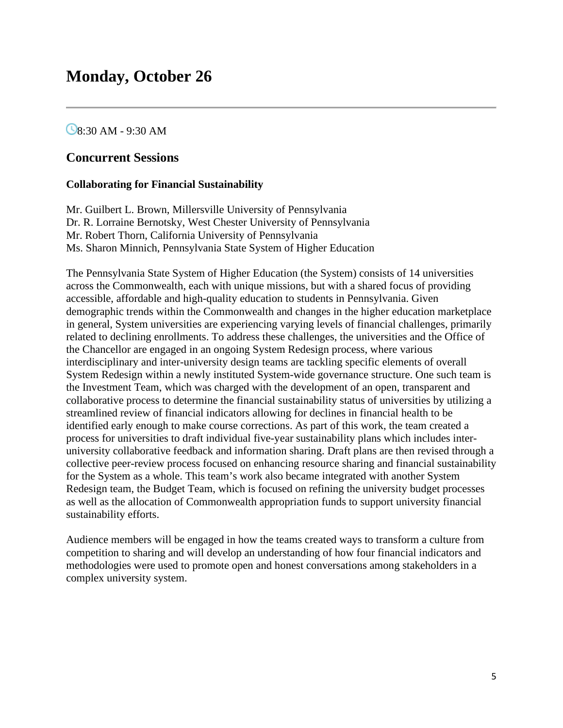# **Monday, October 26**

# $\bigcirc$ 8:30 AM - 9:30 AM

#### **Concurrent Sessions**

#### **Collaborating for Financial Sustainability**

Mr. Guilbert L. Brown, Millersville University of Pennsylvania Dr. R. Lorraine Bernotsky, West Chester University of Pennsylvania Mr. Robert Thorn, California University of Pennsylvania Ms. Sharon Minnich, Pennsylvania State System of Higher Education

The Pennsylvania State System of Higher Education (the System) consists of 14 universities across the Commonwealth, each with unique missions, but with a shared focus of providing accessible, affordable and high-quality education to students in Pennsylvania. Given demographic trends within the Commonwealth and changes in the higher education marketplace in general, System universities are experiencing varying levels of financial challenges, primarily related to declining enrollments. To address these challenges, the universities and the Office of the Chancellor are engaged in an ongoing System Redesign process, where various interdisciplinary and inter-university design teams are tackling specific elements of overall System Redesign within a newly instituted System-wide governance structure. One such team is the Investment Team, which was charged with the development of an open, transparent and collaborative process to determine the financial sustainability status of universities by utilizing a streamlined review of financial indicators allowing for declines in financial health to be identified early enough to make course corrections. As part of this work, the team created a process for universities to draft individual five-year sustainability plans which includes interuniversity collaborative feedback and information sharing. Draft plans are then revised through a collective peer-review process focused on enhancing resource sharing and financial sustainability for the System as a whole. This team's work also became integrated with another System Redesign team, the Budget Team, which is focused on refining the university budget processes as well as the allocation of Commonwealth appropriation funds to support university financial sustainability efforts.

Audience members will be engaged in how the teams created ways to transform a culture from competition to sharing and will develop an understanding of how four financial indicators and methodologies were used to promote open and honest conversations among stakeholders in a complex university system.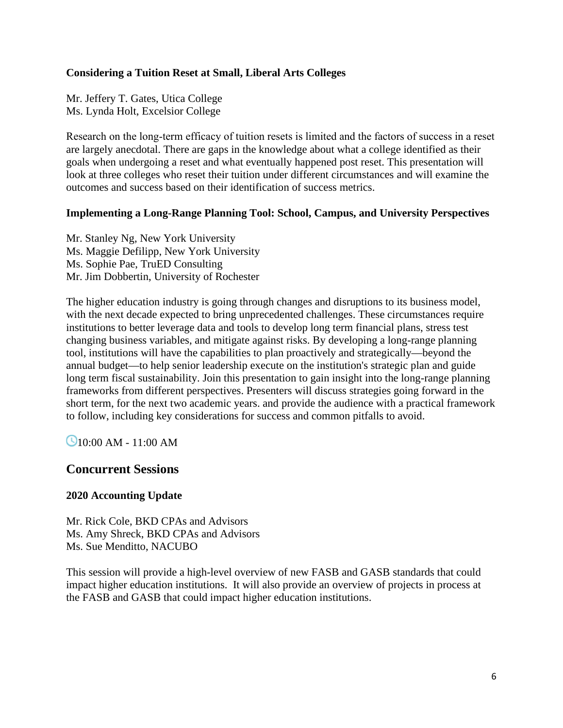#### **Considering a Tuition Reset at Small, Liberal Arts Colleges**

Mr. Jeffery T. Gates, Utica College Ms. Lynda Holt, Excelsior College

Research on the long‐term efficacy of tuition resets is limited and the factors of success in a reset are largely anecdotal. There are gaps in the knowledge about what a college identified as their goals when undergoing a reset and what eventually happened post reset. This presentation will look at three colleges who reset their tuition under different circumstances and will examine the outcomes and success based on their identification of success metrics.

#### **Implementing a Long-Range Planning Tool: School, Campus, and University Perspectives**

Mr. Stanley Ng, New York University Ms. Maggie Defilipp, New York University Ms. Sophie Pae, TruED Consulting Mr. Jim Dobbertin, University of Rochester

The higher education industry is going through changes and disruptions to its business model, with the next decade expected to bring unprecedented challenges. These circumstances require institutions to better leverage data and tools to develop long term financial plans, stress test changing business variables, and mitigate against risks. By developing a long-range planning tool, institutions will have the capabilities to plan proactively and strategically—beyond the annual budget—to help senior leadership execute on the institution's strategic plan and guide long term fiscal sustainability. Join this presentation to gain insight into the long-range planning frameworks from different perspectives. Presenters will discuss strategies going forward in the short term, for the next two academic years. and provide the audience with a practical framework to follow, including key considerations for success and common pitfalls to avoid.

**910:00 AM - 11:00 AM** 

# **Concurrent Sessions**

#### **2020 Accounting Update**

Mr. Rick Cole, BKD CPAs and Advisors Ms. Amy Shreck, BKD CPAs and Advisors Ms. Sue Menditto, NACUBO

This session will provide a high-level overview of new FASB and GASB standards that could impact higher education institutions. It will also provide an overview of projects in process at the FASB and GASB that could impact higher education institutions.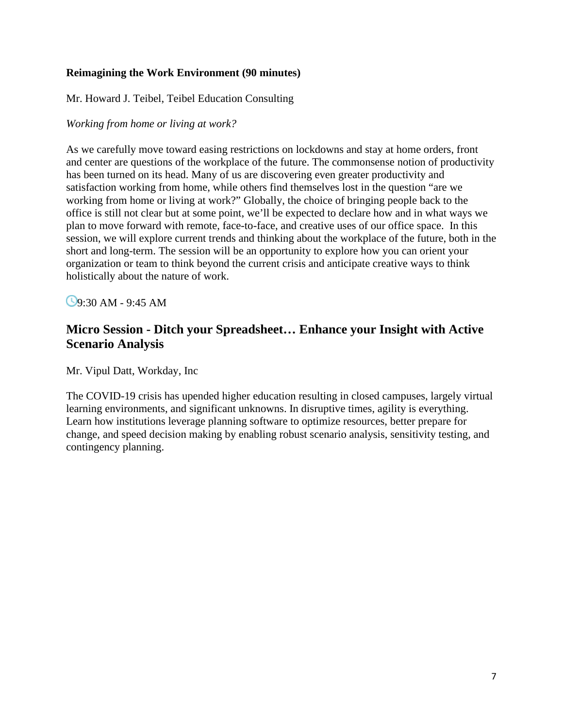#### **Reimagining the Work Environment (90 minutes)**

Mr. Howard J. Teibel, Teibel Education Consulting

#### *Working from home or living at work?*

As we carefully move toward easing restrictions on lockdowns and stay at home orders, front and center are questions of the workplace of the future. The commonsense notion of productivity has been turned on its head. Many of us are discovering even greater productivity and satisfaction working from home, while others find themselves lost in the question "are we working from home or living at work?" Globally, the choice of bringing people back to the office is still not clear but at some point, we'll be expected to declare how and in what ways we plan to move forward with remote, face-to-face, and creative uses of our office space. In this session, we will explore current trends and thinking about the workplace of the future, both in the short and long-term. The session will be an opportunity to explore how you can orient your organization or team to think beyond the current crisis and anticipate creative ways to think holistically about the nature of work.

**9:30 AM - 9:45 AM** 

# **Micro Session - Ditch your Spreadsheet… Enhance your Insight with Active Scenario Analysis**

Mr. Vipul Datt, Workday, Inc

The COVID-19 crisis has upended higher education resulting in closed campuses, largely virtual learning environments, and significant unknowns. In disruptive times, agility is everything. Learn how institutions leverage planning software to optimize resources, better prepare for change, and speed decision making by enabling robust scenario analysis, sensitivity testing, and contingency planning.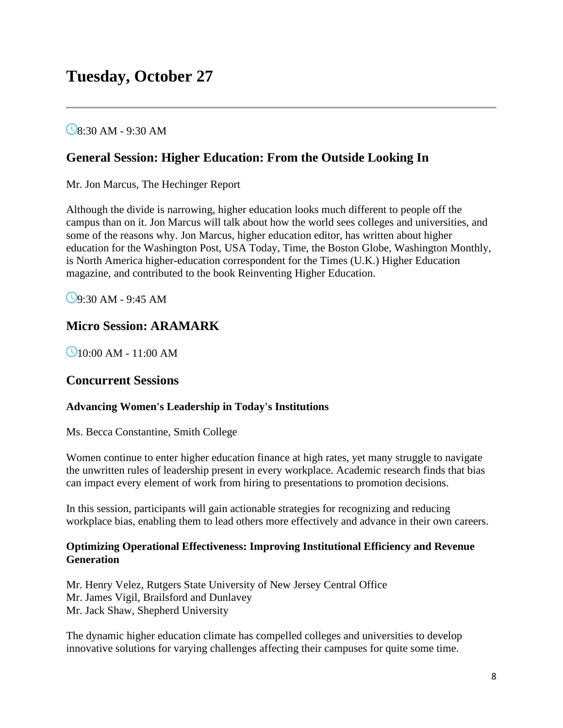# $\bigcirc$ 8:30 AM - 9:30 AM

# **General Session: Higher Education: From the Outside Looking In**

Mr. Jon Marcus, The Hechinger Report

Although the divide is narrowing, higher education looks much different to people off the campus than on it. Jon Marcus will talk about how the world sees colleges and universities, and some of the reasons why. Jon Marcus, higher education editor, has written about higher education for the Washington Post, USA Today, Time, the Boston Globe, Washington Monthly, is North America higher-education correspondent for the Times (U.K.) Higher Education magazine, and contributed to the book Reinventing Higher Education.

9:30 AM - 9:45 AM

# **Micro Session: ARAMARK**

**2**10:00 AM - 11:00 AM

# **Concurrent Sessions**

#### **Advancing Women's Leadership in Today's Institutions**

Ms. Becca Constantine, Smith College

Women continue to enter higher education finance at high rates, yet many struggle to navigate the unwritten rules of leadership present in every workplace. Academic research finds that bias can impact every element of work from hiring to presentations to promotion decisions.

In this session, participants will gain actionable strategies for recognizing and reducing workplace bias, enabling them to lead others more effectively and advance in their own careers.

#### **Optimizing Operational Effectiveness: Improving Institutional Efficiency and Revenue Generation**

Mr. Henry Velez, Rutgers State University of New Jersey Central Office Mr. James Vigil, Brailsford and Dunlavey Mr. Jack Shaw, Shepherd University

The dynamic higher education climate has compelled colleges and universities to develop innovative solutions for varying challenges affecting their campuses for quite some time.